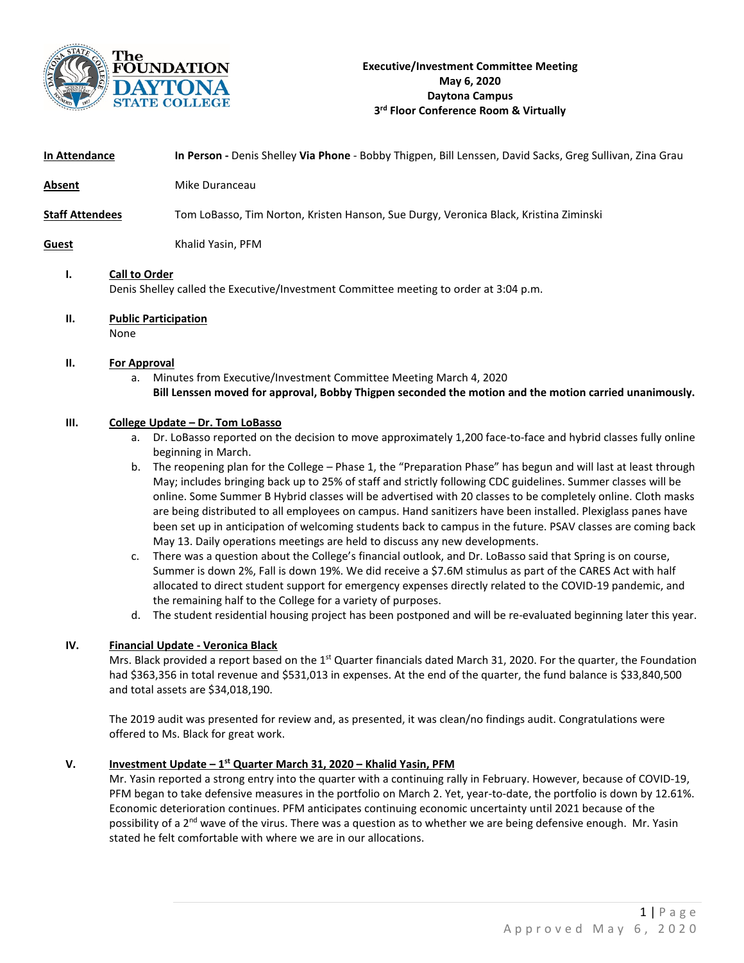

| In Attendance          |                                     | In Person - Denis Shelley Via Phone - Bobby Thigpen, Bill Lenssen, David Sacks, Greg Sullivan, Zina Grau                                                                                                                                                                                                                                                                                                                                                                                                                                                                                                                                                                                                                                                                                                                                  |
|------------------------|-------------------------------------|-------------------------------------------------------------------------------------------------------------------------------------------------------------------------------------------------------------------------------------------------------------------------------------------------------------------------------------------------------------------------------------------------------------------------------------------------------------------------------------------------------------------------------------------------------------------------------------------------------------------------------------------------------------------------------------------------------------------------------------------------------------------------------------------------------------------------------------------|
| Absent                 |                                     | Mike Duranceau                                                                                                                                                                                                                                                                                                                                                                                                                                                                                                                                                                                                                                                                                                                                                                                                                            |
| <b>Staff Attendees</b> |                                     | Tom LoBasso, Tim Norton, Kristen Hanson, Sue Durgy, Veronica Black, Kristina Ziminski                                                                                                                                                                                                                                                                                                                                                                                                                                                                                                                                                                                                                                                                                                                                                     |
| <b>Guest</b>           |                                     | Khalid Yasin, PFM                                                                                                                                                                                                                                                                                                                                                                                                                                                                                                                                                                                                                                                                                                                                                                                                                         |
| ı.                     | <b>Call to Order</b>                | Denis Shelley called the Executive/Investment Committee meeting to order at 3:04 p.m.                                                                                                                                                                                                                                                                                                                                                                                                                                                                                                                                                                                                                                                                                                                                                     |
| П.                     | <b>Public Participation</b><br>None |                                                                                                                                                                                                                                                                                                                                                                                                                                                                                                                                                                                                                                                                                                                                                                                                                                           |
| П.                     | <b>For Approval</b><br>a.           | Minutes from Executive/Investment Committee Meeting March 4, 2020<br>Bill Lenssen moved for approval, Bobby Thigpen seconded the motion and the motion carried unanimously.                                                                                                                                                                                                                                                                                                                                                                                                                                                                                                                                                                                                                                                               |
| Ш.                     | а.<br>b.                            | College Update - Dr. Tom LoBasso<br>Dr. LoBasso reported on the decision to move approximately 1,200 face-to-face and hybrid classes fully online<br>beginning in March.<br>The reopening plan for the College - Phase 1, the "Preparation Phase" has begun and will last at least through<br>May; includes bringing back up to 25% of staff and strictly following CDC guidelines. Summer classes will be<br>online. Some Summer B Hybrid classes will be advertised with 20 classes to be completely online. Cloth masks<br>are being distributed to all employees on campus. Hand sanitizers have been installed. Plexiglass panes have<br>been set up in anticipation of welcoming students back to campus in the future. PSAV classes are coming back<br>May 13. Daily operations meetings are held to discuss any new developments. |

- c. There was a question about the College's financial outlook, and Dr. LoBasso said that Spring is on course, Summer is down 2%, Fall is down 19%. We did receive a \$7.6M stimulus as part of the CARES Act with half allocated to direct student support for emergency expenses directly related to the COVID-19 pandemic, and the remaining half to the College for a variety of purposes.
- d. The student residential housing project has been postponed and will be re-evaluated beginning later this year.

# **IV. Financial Update - Veronica Black**

Mrs. Black provided a report based on the  $1<sup>st</sup>$  Quarter financials dated March 31, 2020. For the quarter, the Foundation had \$363,356 in total revenue and \$531,013 in expenses. At the end of the quarter, the fund balance is \$33,840,500 and total assets are \$34,018,190.

The 2019 audit was presented for review and, as presented, it was clean/no findings audit. Congratulations were offered to Ms. Black for great work.

#### **V. Investment Update – 1st Quarter March 31, 2020 – Khalid Yasin, PFM**

Mr. Yasin reported a strong entry into the quarter with a continuing rally in February. However, because of COVID-19, PFM began to take defensive measures in the portfolio on March 2. Yet, year-to-date, the portfolio is down by 12.61%. Economic deterioration continues. PFM anticipates continuing economic uncertainty until 2021 because of the possibility of a 2<sup>nd</sup> wave of the virus. There was a question as to whether we are being defensive enough. Mr. Yasin stated he felt comfortable with where we are in our allocations.